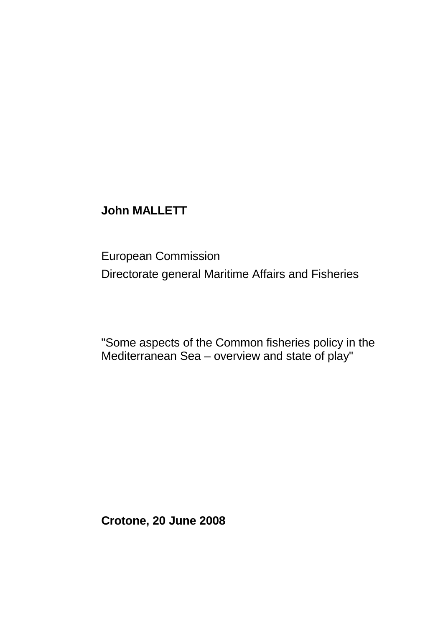## **John MALLETT**

European Commission Directorate general Maritime Affairs and Fisheries

"Some aspects of the Common fisheries policy in the Mediterranean Sea – overview and state of play"

**Crotone, 20 June 2008**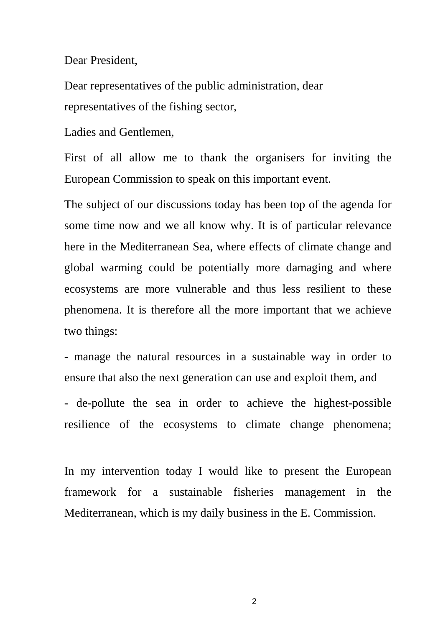Dear President,

Dear representatives of the public administration, dear representatives of the fishing sector,

Ladies and Gentlemen,

First of all allow me to thank the organisers for inviting the European Commission to speak on this important event.

The subject of our discussions today has been top of the agenda for some time now and we all know why. It is of particular relevance here in the Mediterranean Sea, where effects of climate change and global warming could be potentially more damaging and where ecosystems are more vulnerable and thus less resilient to these phenomena. It is therefore all the more important that we achieve two things:

- manage the natural resources in a sustainable way in order to ensure that also the next generation can use and exploit them, and

- de-pollute the sea in order to achieve the highest-possible resilience of the ecosystems to climate change phenomena;

In my intervention today I would like to present the European framework for a sustainable fisheries management in the Mediterranean, which is my daily business in the E. Commission.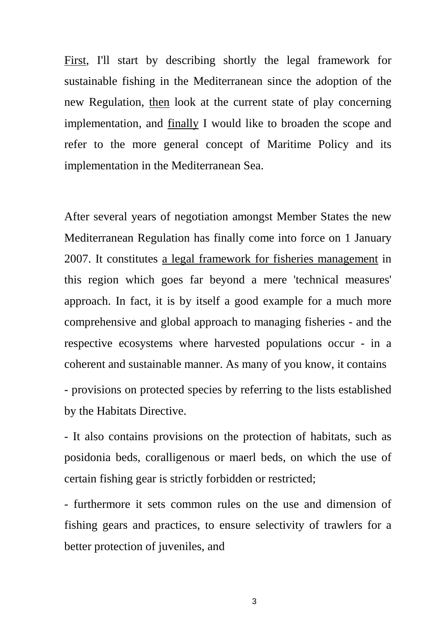First, I'll start by describing shortly the legal framework for sustainable fishing in the Mediterranean since the adoption of the new Regulation, then look at the current state of play concerning implementation, and finally I would like to broaden the scope and refer to the more general concept of Maritime Policy and its implementation in the Mediterranean Sea.

After several years of negotiation amongst Member States the new Mediterranean Regulation has finally come into force on 1 January 2007. It constitutes a legal framework for fisheries management in this region which goes far beyond a mere 'technical measures' approach. In fact, it is by itself a good example for a much more comprehensive and global approach to managing fisheries - and the respective ecosystems where harvested populations occur - in a coherent and sustainable manner. As many of you know, it contains

- provisions on protected species by referring to the lists established by the Habitats Directive.

- It also contains provisions on the protection of habitats, such as posidonia beds, coralligenous or maerl beds, on which the use of certain fishing gear is strictly forbidden or restricted;

- furthermore it sets common rules on the use and dimension of fishing gears and practices, to ensure selectivity of trawlers for a better protection of juveniles, and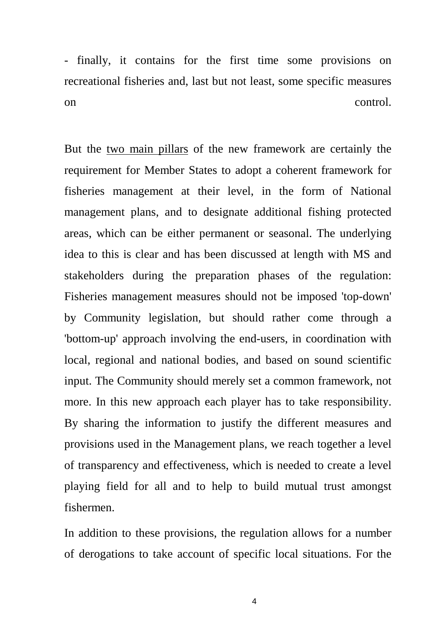- finally, it contains for the first time some provisions on recreational fisheries and, last but not least, some specific measures on control.

But the two main pillars of the new framework are certainly the requirement for Member States to adopt a coherent framework for fisheries management at their level, in the form of National management plans, and to designate additional fishing protected areas, which can be either permanent or seasonal. The underlying idea to this is clear and has been discussed at length with MS and stakeholders during the preparation phases of the regulation: Fisheries management measures should not be imposed 'top-down' by Community legislation, but should rather come through a 'bottom-up' approach involving the end-users, in coordination with local, regional and national bodies, and based on sound scientific input. The Community should merely set a common framework, not more. In this new approach each player has to take responsibility. By sharing the information to justify the different measures and provisions used in the Management plans, we reach together a level of transparency and effectiveness, which is needed to create a level playing field for all and to help to build mutual trust amongst fishermen.

In addition to these provisions, the regulation allows for a number of derogations to take account of specific local situations. For the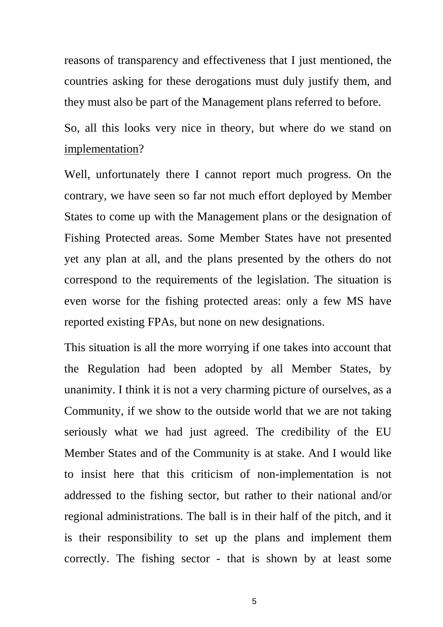reasons of transparency and effectiveness that I just mentioned, the countries asking for these derogations must duly justify them, and they must also be part of the Management plans referred to before.

So, all this looks very nice in theory, but where do we stand on implementation?

Well, unfortunately there I cannot report much progress. On the contrary, we have seen so far not much effort deployed by Member States to come up with the Management plans or the designation of Fishing Protected areas. Some Member States have not presented yet any plan at all, and the plans presented by the others do not correspond to the requirements of the legislation. The situation is even worse for the fishing protected areas: only a few MS have reported existing FPAs, but none on new designations.

This situation is all the more worrying if one takes into account that the Regulation had been adopted by all Member States, by unanimity. I think it is not a very charming picture of ourselves, as a Community, if we show to the outside world that we are not taking seriously what we had just agreed. The credibility of the EU Member States and of the Community is at stake. And I would like to insist here that this criticism of non-implementation is not addressed to the fishing sector, but rather to their national and/or regional administrations. The ball is in their half of the pitch, and it is their responsibility to set up the plans and implement them correctly. The fishing sector - that is shown by at least some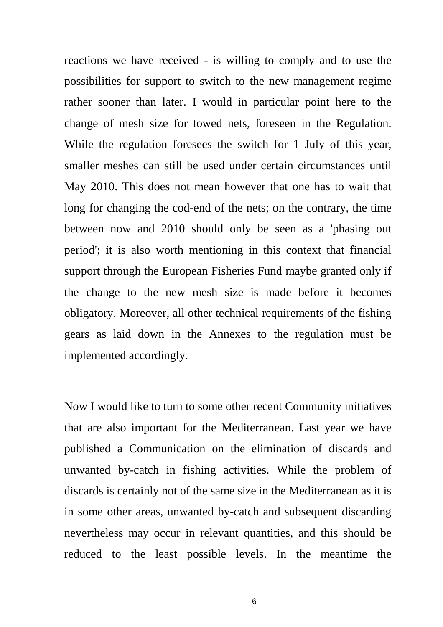reactions we have received - is willing to comply and to use the possibilities for support to switch to the new management regime rather sooner than later. I would in particular point here to the change of mesh size for towed nets, foreseen in the Regulation. While the regulation foresees the switch for 1 July of this year, smaller meshes can still be used under certain circumstances until May 2010. This does not mean however that one has to wait that long for changing the cod-end of the nets; on the contrary, the time between now and 2010 should only be seen as a 'phasing out period'; it is also worth mentioning in this context that financial support through the European Fisheries Fund maybe granted only if the change to the new mesh size is made before it becomes obligatory. Moreover, all other technical requirements of the fishing gears as laid down in the Annexes to the regulation must be implemented accordingly.

Now I would like to turn to some other recent Community initiatives that are also important for the Mediterranean. Last year we have published a Communication on the elimination of discards and unwanted by-catch in fishing activities. While the problem of discards is certainly not of the same size in the Mediterranean as it is in some other areas, unwanted by-catch and subsequent discarding nevertheless may occur in relevant quantities, and this should be reduced to the least possible levels. In the meantime the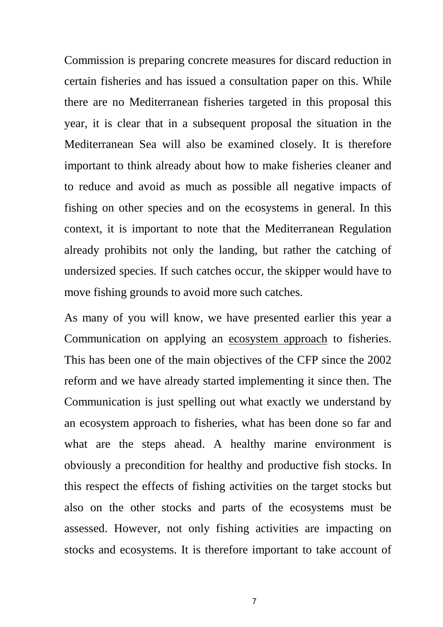Commission is preparing concrete measures for discard reduction in certain fisheries and has issued a consultation paper on this. While there are no Mediterranean fisheries targeted in this proposal this year, it is clear that in a subsequent proposal the situation in the Mediterranean Sea will also be examined closely. It is therefore important to think already about how to make fisheries cleaner and to reduce and avoid as much as possible all negative impacts of fishing on other species and on the ecosystems in general. In this context, it is important to note that the Mediterranean Regulation already prohibits not only the landing, but rather the catching of undersized species. If such catches occur, the skipper would have to move fishing grounds to avoid more such catches.

As many of you will know, we have presented earlier this year a Communication on applying an ecosystem approach to fisheries. This has been one of the main objectives of the CFP since the 2002 reform and we have already started implementing it since then. The Communication is just spelling out what exactly we understand by an ecosystem approach to fisheries, what has been done so far and what are the steps ahead. A healthy marine environment is obviously a precondition for healthy and productive fish stocks. In this respect the effects of fishing activities on the target stocks but also on the other stocks and parts of the ecosystems must be assessed. However, not only fishing activities are impacting on stocks and ecosystems. It is therefore important to take account of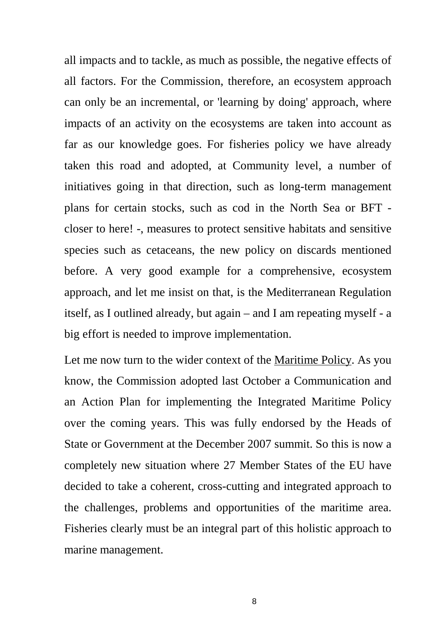all impacts and to tackle, as much as possible, the negative effects of all factors. For the Commission, therefore, an ecosystem approach can only be an incremental, or 'learning by doing' approach, where impacts of an activity on the ecosystems are taken into account as far as our knowledge goes. For fisheries policy we have already taken this road and adopted, at Community level, a number of initiatives going in that direction, such as long-term management plans for certain stocks, such as cod in the North Sea or BFT closer to here! -, measures to protect sensitive habitats and sensitive species such as cetaceans, the new policy on discards mentioned before. A very good example for a comprehensive, ecosystem approach, and let me insist on that, is the Mediterranean Regulation itself, as I outlined already, but again – and I am repeating myself - a big effort is needed to improve implementation.

Let me now turn to the wider context of the Maritime Policy. As you know, the Commission adopted last October a Communication and an Action Plan for implementing the Integrated Maritime Policy over the coming years. This was fully endorsed by the Heads of State or Government at the December 2007 summit. So this is now a completely new situation where 27 Member States of the EU have decided to take a coherent, cross-cutting and integrated approach to the challenges, problems and opportunities of the maritime area. Fisheries clearly must be an integral part of this holistic approach to marine management.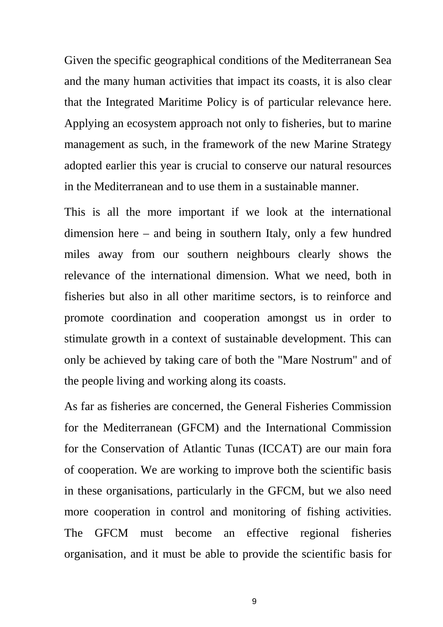Given the specific geographical conditions of the Mediterranean Sea and the many human activities that impact its coasts, it is also clear that the Integrated Maritime Policy is of particular relevance here. Applying an ecosystem approach not only to fisheries, but to marine management as such, in the framework of the new Marine Strategy adopted earlier this year is crucial to conserve our natural resources in the Mediterranean and to use them in a sustainable manner.

This is all the more important if we look at the international dimension here – and being in southern Italy, only a few hundred miles away from our southern neighbours clearly shows the relevance of the international dimension. What we need, both in fisheries but also in all other maritime sectors, is to reinforce and promote coordination and cooperation amongst us in order to stimulate growth in a context of sustainable development. This can only be achieved by taking care of both the "Mare Nostrum" and of the people living and working along its coasts.

As far as fisheries are concerned, the General Fisheries Commission for the Mediterranean (GFCM) and the International Commission for the Conservation of Atlantic Tunas (ICCAT) are our main fora of cooperation. We are working to improve both the scientific basis in these organisations, particularly in the GFCM, but we also need more cooperation in control and monitoring of fishing activities. The GFCM must become an effective regional fisheries organisation, and it must be able to provide the scientific basis for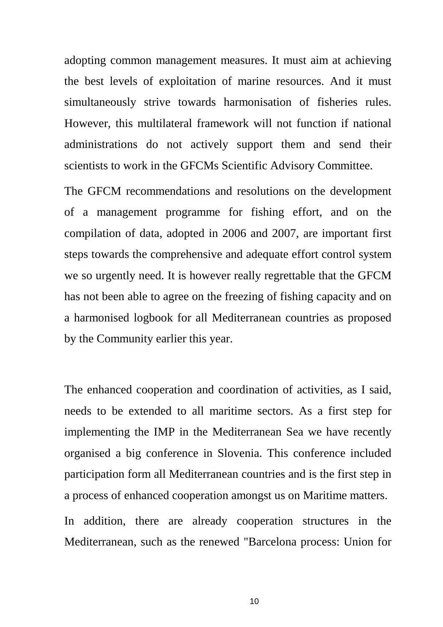adopting common management measures. It must aim at achieving the best levels of exploitation of marine resources. And it must simultaneously strive towards harmonisation of fisheries rules. However, this multilateral framework will not function if national administrations do not actively support them and send their scientists to work in the GFCMs Scientific Advisory Committee.

The GFCM recommendations and resolutions on the development of a management programme for fishing effort, and on the compilation of data, adopted in 2006 and 2007, are important first steps towards the comprehensive and adequate effort control system we so urgently need. It is however really regrettable that the GFCM has not been able to agree on the freezing of fishing capacity and on a harmonised logbook for all Mediterranean countries as proposed by the Community earlier this year.

The enhanced cooperation and coordination of activities, as I said, needs to be extended to all maritime sectors. As a first step for implementing the IMP in the Mediterranean Sea we have recently organised a big conference in Slovenia. This conference included participation form all Mediterranean countries and is the first step in a process of enhanced cooperation amongst us on Maritime matters.

In addition, there are already cooperation structures in the Mediterranean, such as the renewed "Barcelona process: Union for